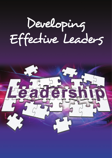# Developing Effective Leaders

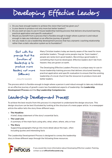Developing Effective Leaders

- » Do you have enough leaders to achieve the vision that God has given you?
- » Is your desire to produce not only more but better leaders?
- » Do you want an easy to use in-house leadership training process that delivers structured learning, practical application and specific evaluation?
- » Would you benefit from a process that is flexible enough to begin where a person is and robust enough to take any individual on an effective journey of growth?
- » Are you ready to use a leadership development process that has a dynamic coaching relationship rather than a static education system as its foundation?

Start with the premise that the function of leadership is to produce more leaders, not more followers.

–RALPH NADER

Many Christian leaders today are keenly aware of the need for more and better leaders. Though some people may be "born leaders", people are rarely born good leaders. Becoming a good leader is something that must be developed. Effective leaders don't fall from heaven; they are grown on earth.

The Developing Effective Leaders Process is a unique easy-to-use inhouse leadership training process that delivers structured learning, practical application and specific evaluation to ensure that the existing leadership of a local church has the resources to produce more and better leaders.

The process which is flexible enough to begin where a person is and robust enough to take any individual on an effective journey of growth covers two foundational aspects of leadership: the **Leadership Development Process** and the **Key Leadership Competencies**.

# Leadership Development Process

To achieve the best results from this process it is important to understand the design structure. This design structure can be best illustrated by looking at the structure of a news paper article. In a newspaper article the editor tells the story three different ways.

» **The Headline**

A brief, sharp statement of the story's essential facts.

- » **The Lead Line** A summary of the main facts using who, what, when, where, why or how
- » **The Story** Supporting paragraphs that go into more detail about the topic, often including quotes and interesting facts

The Leadership Development Process is designed to convey the leadership story in three different ways through the following three resources.





If you would like more information about Developing Effective Leaders Training, **INFOCUS** If you would like more information ab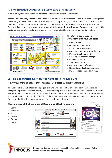## **1. The Effective Leadership Storyboard** (The Headline)

*A brief, sharp overview of the development process for effective leadership.* 

Modelled on the story board used to create movies, this resource is comprised of the eleven key stages for developing effective leaders and includes sub topics supported by key bullet points as well as full colour diagrams. Using a continuous improvement cycle that consists of Prepare, Organise, Implement and Review, this resource is an overview of the complete **Leadership Development Process** on one sheet. It is designed as a simple visual process as well as a coaching tool for working with potential leaders.



#### **The eleven key stages for Developing Effective Leaders:**

- » Know yourself
- » Understand your team
- » Assess team capabilities
- » Agree on leadership ground rules
- » Provide directional clarity
- » Set tangible goals and targets
- » Lead by example
- » Take measured risks
- » Appraise team performance
- » Recognise and celebrate success
- » Invite feedback and adjust style

## **2. The Leadership Skill Builder Booklet** (The Lead Line)

*A summary of the key stages of the development process for effective leadership.*

The Leadership Skill Builder is a 12 page black and white booklet (with colour front and back cover) designed to provide a quick summary of the leadership process but at a deeper level than the story board. The Template on the back introduces potential leaders to the concept of Personal Action Plans as well as accountability through coaching. The Skill Builder Booklet can be used as a self study tool, a workbook for a simplified training course or for general coaching/mentoring.

#### **The summary of the key stages of Developing Effective Leaders:**

- » Learn
- » Empower
- » Assess
- » Decide
- » Evaluate
- » Review







If you would like more information about Developing Effective Leaders Training, contact us at **office@infocusnet.org**.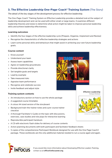## **3. The Effective Leadership One-Page-Coach® Training System** (The Story)

*The detail of the key stages of the development process for effective leadership.*

The One-Page-Coach® Training System on Effective Leadership provides a detailed look at the subject of leadership development and can be used with either small or large teams. It examines different leadership theories and styles to determine what action might be taken to improve personal leadership skills and achieve leadership effectiveness.

#### **Learning outcomes**

- » Identify the four stages of the effective leadership cycle (Prepare, Organise, Implement and Review)
- » Recognise the characteristics of effective leadership strategies and actions
- » Learn some personal skills and behaviours that might assist in achieving your own future leadership goals.

#### **Course content**

- » Know yourself
- » Understand your team
- » Assess team capabilities
- » Agree on leadership groundrules
- » Provide directional clarity
- » Set tangible goals and targets
- » Lead by example
- » Take measured risks
- » Appraise team performance
- » Recognise and celebrate success
- » Invite feedback and adjust style

#### **Training system contents**

- » An introductory section on how to use the whole package
- » A suggested course timetable
- » A colour A4 sized version of the storyboard
- » Background train-the-trainer notes and a pre-course trainer checklist
- » A thorough Facilitator's Guide on the topic with discussions, exercises, case studies and role plays for interactive learning
- » Reproducible participant handouts
- » A CD with electronic flash slides for delivery of course contents
- » Action planning documents with both participant and facilitator feedback sheets
- » 5 copies of the comprehensive Participant Workbook designed for use with the One Page Coach® package. These workbooks are the only additional material needed to run a course again and again.



If you would like more information about Developing Effective Leaders Training, **INFOCUS** If you would like more information at



#### **Effective Leadership**

Participant Workbook

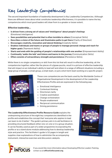# Key Leadership Competencies

The second important foundation of leadership development is Key Leadership Competencies. Although there are different views about what constitutes leadership effectiveness, it is possible to name the key competencies which most good leaders will draw from to a greater or lesser extent.

#### **Effective leadership…**

- » **Is driven from a strong set of values and 'intelligence' about people's feelings**  (Emotional Intelligence)
- » **Sees possibilities and potential that is often invisible to others** (Conceptual Skills)
- » **Describes a vision of the future and illuminates paths to get there** (Clarity of Direction)
- » **Encourages creativity, innovation and lateral thinking** (Creativity Skills)
- » **Enables individuals and teams or groups of people to manage personal change and reach for higher goals** (Teamwork Ability)
- » **Starts and ends with the guiding of people's relationships with one another** (Empowerment Ability)
- » **Continually 'walks the talk' and listens and learns in the journey** (Communication Skills)
- » **Often consists of extraordinary strength and persistence** (Persistence Skills).

While there is no single competency or skill from this list that will result in effective leadership, all the competencies together, rather like the pieces of a jigsaw puzzle, result in a picture of effective leadership that will impact on an individual's ability to lead self and others in a range of different situations including a large group of people, a small group, a small team, or just a short term team working on a specific project.



These core competencies are the basis used by the Worldwide Centre of Organisational Development in the development of the Leadership Effectiveness Profile and are expressed in the following way:

- » Emotional intelligence
- » Contextual thinking
- » Directional clarity
- » Creative assimilation
- » Change orchestration
- » People enablement
- » Reciprocal communication
- » Driving persistence

**The Leadership Effectiveness Profile Resource Guide** explains the underpinning structure of the eight key competencies identified in the profile and establishes the concept that 'everyone who aspires to lead can learn to do it better'. The guide's primary aim is to aid facilitators in providing structured feedback either one-on-one or in a group situation. It can be flexibly used as part of a wider programme incorporating the profile or as a stand alone module addressing how to develop leadership style and practice. This facilitator's guide is 52 pages in length and supplies clear explanations of how to administer the accompanying instrument, interactive exercises and discussion catalysts.